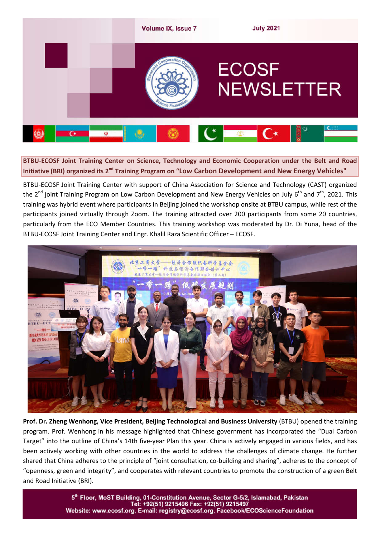

**BTBU-ECOSF Joint Training Center on Science, Technology and Economic Cooperation under the Belt and Road Initiative (BRI) organized its 2nd Training Program on "Low Carbon Development and New Energy Vehicles"**

BTBU-ECOSF Joint Training Center with support of China Association for Science and Technology (CAST) organized the 2<sup>nd</sup> joint Training Program on Low Carbon Development and New Energy Vehicles on July 6<sup>th</sup> and 7<sup>th</sup>, 2021. This training was hybrid event where participants in Beijing joined the workshop onsite at BTBU campus, while rest of the participants joined virtually through Zoom. The training attracted over 200 participants from some 20 countries, particularly from the ECO Member Countries. This training workshop was moderated by Dr. Di Yuna, head of the BTBU-ECOSF Joint Training Center and Engr. Khalil Raza Scientific Officer – ECOSF.



**Prof. Dr. Zheng Wenhong, Vice President, Beijing Technological and Business University** (BTBU) opened the training program. Prof. Wenhong in his message highlighted that Chinese government has incorporated the "Dual Carbon Target" into the outline of China's 14th five-year Plan this year. China is actively engaged in various fields, and has been actively working with other countries in the world to address the challenges of climate change. He further shared that China adheres to the principle of "joint consultation, co-building and sharing", adheres to the concept of "openness, green and integrity", and cooperates with relevant countries to promote the construction of a green Belt and Road Initiative (BRI).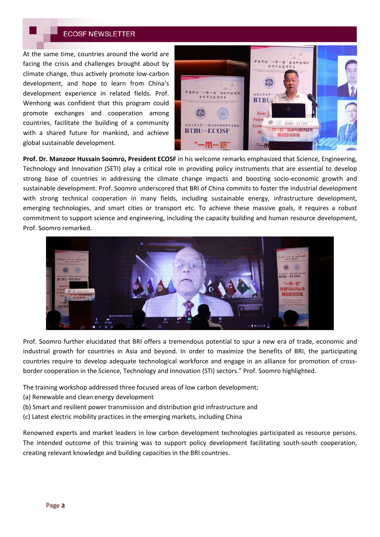At the same time, countries around the world are facing the crisis and challenges brought about by climate change, thus actively promote low-carbon development, and hope to learn from China's development experience in related fields. Prof. Wenhong was confident that this program could promote exchanges and cooperation among countries, facilitate the building of a community with a shared future for mankind, and achieve global sustainable development.



**Prof. Dr. Manzoor Hussain Soomro, President ECOSF** in his welcome remarks emphasized that Science, Engineering, Technology and Innovation (SETI) play a critical role in providing policy instruments that are essential to develop strong base of countries in addressing the climate change impacts and boosting socio-economic growth and sustainable development. Prof. Soomro underscored that BRI of China commits to foster the industrial development with strong technical cooperation in many fields, including sustainable energy, infrastructure development, emerging technologies, and smart cities or transport etc. To achieve these massive goals, it requires a robust commitment to support science and engineering, including the capacity building and human resource development, Prof. Soomro remarked.



Prof. Soomro further elucidated that BRI offers a tremendous potential to spur a new era of trade, economic and industrial growth for countries in Asia and beyond. In order to maximize the benefits of BRI, the participating countries require to develop adequate technological workforce and engage in an alliance for promotion of crossborder cooperation in the Science, Technology and Innovation (STI) sectors." Prof. Soomro highlighted.

The training workshop addressed three focused areas of low carbon development;

- (a) Renewable and clean energy development
- (b) Smart and resilient power transmission and distribution grid infrastructure and
- (c) Latest electric mobility practices in the emerging markets, including China

Renowned experts and market leaders in low carbon development technologies participated as resource persons. The intended outcome of this training was to support policy development facilitating south-south cooperation, creating relevant knowledge and building capacities in the BRI countries.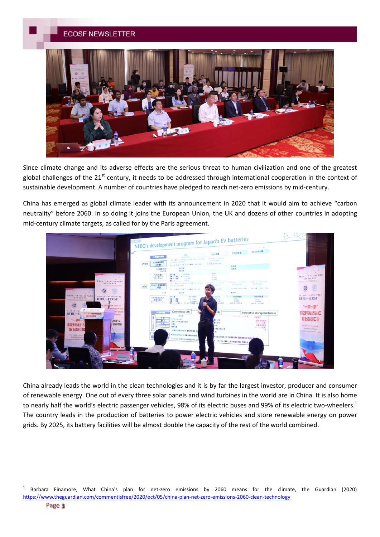

Since climate change and its adverse effects are the serious threat to human civilization and one of the greatest global challenges of the 21<sup>st</sup> century, it needs to be addressed through international cooperation in the context of sustainable development. A number of countries have pledged to reach net-zero emissions by mid-century.

China has emerged as global climate leader with its announcement in 2020 that it would aim to achieve "carbon neutrality" before 2060. In so doing it joins the European Union, the UK and dozens of other countries in adopting mid-century climate targets, as called for by the Paris agreement.



China already leads the world in the clean technologies and it is by far the largest investor, producer and consumer of renewable energy. One out of every three solar panels and wind turbines in the world are in China. It is also home to nearly half the world's electric passenger vehicles, 98% of its electric buses and 99% of its electric two-wheelers.<sup>1</sup> The country leads in the production of batteries to power electric vehicles and store renewable energy on power grids. By 2025, its battery facilities will be almost double the capacity of the rest of the world combined.

<sup>&</sup>lt;sup>1</sup> Barbara Finamore, What China's plan for net-zero emissions by 2060 means for the climate, the Guardian (2020) https://www.theguardian.com/commentisfree/2020/oct/05/china-plan-net-zero-emissions-2060-clean-technology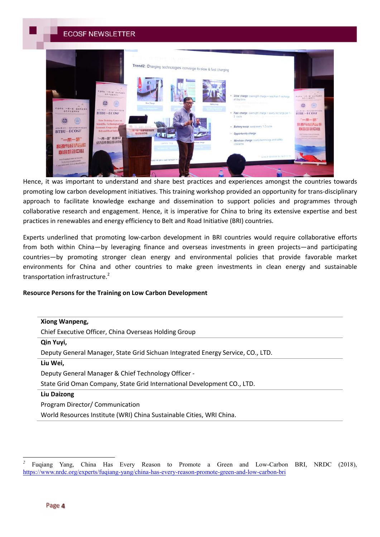

Hence, it was important to understand and share best practices and experiences amongst the countries towards promoting low carbon development initiatives. This training workshop provided an opportunity for trans-disciplinary approach to facilitate knowledge exchange and dissemination to support policies and programmes through collaborative research and engagement. Hence, it is imperative for China to bring its extensive expertise and best practices in renewables and energy efficiency to Belt and Road Initiative (BRI) countries.

Experts underlined that promoting low-carbon development in BRI countries would require collaborative efforts from both within China—by leveraging finance and overseas investments in green projects—and participating countries—by promoting stronger clean energy and environmental policies that provide favorable market environments for China and other countries to make green investments in clean energy and sustainable transportation infrastructure. $2$ 

#### **Resource Persons for the Training on Low Carbon Development**

| Xiong Wanpeng,                                                                  |
|---------------------------------------------------------------------------------|
| Chief Executive Officer, China Overseas Holding Group                           |
| Qin Yuyi,                                                                       |
| Deputy General Manager, State Grid Sichuan Integrated Energy Service, CO., LTD. |
| Liu Wei,                                                                        |
| Deputy General Manager & Chief Technology Officer -                             |
| State Grid Oman Company, State Grid International Development CO., LTD.         |
| <b>Liu Daizong</b>                                                              |
| Program Director/ Communication                                                 |
| World Resources Institute (WRI) China Sustainable Cities, WRI China.            |

 $\overline{a}$ 

*<sup>2</sup>* Fuqiang Yang, China Has Every Reason to Promote a Green and Low-Carbon BRI, NRDC (2018), https://www.nrdc.org/experts/fuqiang-yang/china-has-every-reason-promote-green-and-low-carbon-bri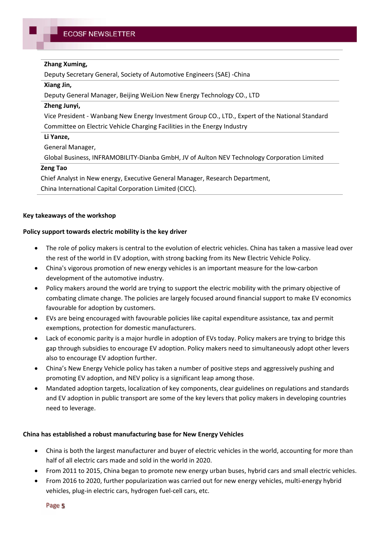### **Zhang Xuming,**

Deputy Secretary General, Society of Automotive Engineers (SAE) -China

### **Xiang Jin,**

Deputy General Manager, Beijing WeiLion New Energy Technology CO., LTD

### **Zheng Junyi,**

Vice President - Wanbang New Energy Investment Group CO., LTD., Expert of the National Standard Committee on Electric Vehicle Charging Facilities in the Energy Industry

### **Li Yanze,**

General Manager,

Global Business, INFRAMOBILITY-Dianba GmbH, JV of Aulton NEV Technology Corporation Limited

### **Zeng Tao**

Chief Analyst in New energy, Executive General Manager, Research Department, China International Capital Corporation Limited (CICC).

### **Key takeaways of the workshop**

### **Policy support towards electric mobility is the key driver**

- The role of policy makers is central to the evolution of electric vehicles. China has taken a massive lead over the rest of the world in EV adoption, with strong backing from its New Electric Vehicle Policy.
- China's vigorous promotion of new energy vehicles is an important measure for the low-carbon development of the automotive industry.
- Policy makers around the world are trying to support the electric mobility with the primary objective of combating climate change. The policies are largely focused around financial support to make EV economics favourable for adoption by customers.
- EVs are being encouraged with favourable policies like capital expenditure assistance, tax and permit exemptions, protection for domestic manufacturers.
- Lack of economic parity is a major hurdle in adoption of EVs today. Policy makers are trying to bridge this gap through subsidies to encourage EV adoption. Policy makers need to simultaneously adopt other levers also to encourage EV adoption further.
- China's New Energy Vehicle policy has taken a number of positive steps and aggressively pushing and promoting EV adoption, and NEV policy is a significant leap among those.
- Mandated adoption targets, localization of key components, clear guidelines on regulations and standards and EV adoption in public transport are some of the key levers that policy makers in developing countries need to leverage.

### **China has established a robust manufacturing base for New Energy Vehicles**

- China is both the largest manufacturer and buyer of electric vehicles in the world, accounting for more than half of all electric cars made and sold in the world in 2020.
- From 2011 to 2015, China began to promote new energy urban buses, hybrid cars and small electric vehicles.
- From 2016 to 2020, further popularization was carried out for new energy vehicles, multi-energy hybrid vehicles, plug-in electric cars, hydrogen fuel-cell cars, etc.

Page 5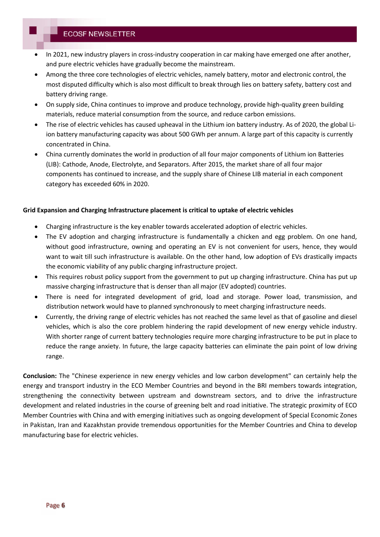- In 2021, new industry players in cross-industry cooperation in car making have emerged one after another, and pure electric vehicles have gradually become the mainstream.
- Among the three core technologies of electric vehicles, namely battery, motor and electronic control, the most disputed difficulty which is also most difficult to break through lies on battery safety, battery cost and battery driving range.
- On supply side, China continues to improve and produce technology, provide high-quality green building materials, reduce material consumption from the source, and reduce carbon emissions.
- The rise of electric vehicles has caused upheaval in the Lithium ion battery industry. As of 2020, the global Liion battery manufacturing capacity was about 500 GWh per annum. A large part of this capacity is currently concentrated in China.
- China currently dominates the world in production of all four major components of Lithium ion Batteries (LIB): Cathode, Anode, Electrolyte, and Separators. After 2015, the market share of all four major components has continued to increase, and the supply share of Chinese LIB material in each component category has exceeded 60% in 2020.

### **Grid Expansion and Charging Infrastructure placement is critical to uptake of electric vehicles**

- Charging infrastructure is the key enabler towards accelerated adoption of electric vehicles.
- The EV adoption and charging infrastructure is fundamentally a chicken and egg problem. On one hand, without good infrastructure, owning and operating an EV is not convenient for users, hence, they would want to wait till such infrastructure is available. On the other hand, low adoption of EVs drastically impacts the economic viability of any public charging infrastructure project.
- This requires robust policy support from the government to put up charging infrastructure. China has put up massive charging infrastructure that is denser than all major (EV adopted) countries.
- There is need for integrated development of grid, load and storage. Power load, transmission, and distribution network would have to planned synchronously to meet charging infrastructure needs.
- Currently, the driving range of electric vehicles has not reached the same level as that of gasoline and diesel vehicles, which is also the core problem hindering the rapid development of new energy vehicle industry. With shorter range of current battery technologies require more charging infrastructure to be put in place to reduce the range anxiety. In future, the large capacity batteries can eliminate the pain point of low driving range.

**Conclusion:** The "Chinese experience in new energy vehicles and low carbon development" can certainly help the energy and transport industry in the ECO Member Countries and beyond in the BRI members towards integration, strengthening the connectivity between upstream and downstream sectors, and to drive the infrastructure development and related industries in the course of greening belt and road initiative. The strategic proximity of ECO Member Countries with China and with emerging initiatives such as ongoing development of Special Economic Zones in Pakistan, Iran and Kazakhstan provide tremendous opportunities for the Member Countries and China to develop manufacturing base for electric vehicles.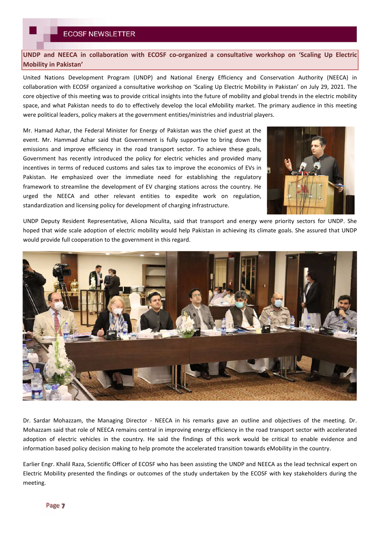**UNDP and NEECA in collaboration with ECOSF co-organized a consultative workshop on 'Scaling Up Electric Mobility in Pakistan'**

United Nations Development Program (UNDP) and National Energy Efficiency and Conservation Authority (NEECA) in collaboration with ECOSF organized a consultative workshop on 'Scaling Up Electric Mobility in Pakistan' on July 29, 2021. The core objective of this meeting was to provide critical insights into the future of mobility and global trends in the electric mobility space, and what Pakistan needs to do to effectively develop the local eMobility market. The primary audience in this meeting were political leaders, policy makers at the government entities/ministries and industrial players.

Mr. Hamad Azhar, the Federal Minister for Energy of Pakistan was the chief guest at the event. Mr. Hammad Azhar said that Government is fully supportive to bring down the emissions and improve efficiency in the road transport sector. To achieve these goals, Government has recently introduced the policy for electric vehicles and provided many incentives in terms of reduced customs and sales tax to improve the economics of EVs in Pakistan. He emphasized over the immediate need for establishing the regulatory framework to streamline the development of EV charging stations across the country. He urged the NEECA and other relevant entities to expedite work on regulation, standardization and licensing policy for development of charging infrastructure.



UNDP Deputy Resident Representative, Aliona Niculita, said that transport and energy were priority sectors for UNDP. She hoped that wide scale adoption of electric mobility would help Pakistan in achieving its climate goals. She assured that UNDP would provide full cooperation to the government in this regard.



Dr. Sardar Mohazzam, the Managing Director - NEECA in his remarks gave an outline and objectives of the meeting. Dr. Mohazzam said that role of NEECA remains central in improving energy efficiency in the road transport sector with accelerated adoption of electric vehicles in the country. He said the findings of this work would be critical to enable evidence and information based policy decision making to help promote the accelerated transition towards eMobility in the country.

Earlier Engr. Khalil Raza, Scientific Officer of ECOSF who has been assisting the UNDP and NEECA as the lead technical expert on Electric Mobility presented the findings or outcomes of the study undertaken by the ECOSF with key stakeholders during the meeting.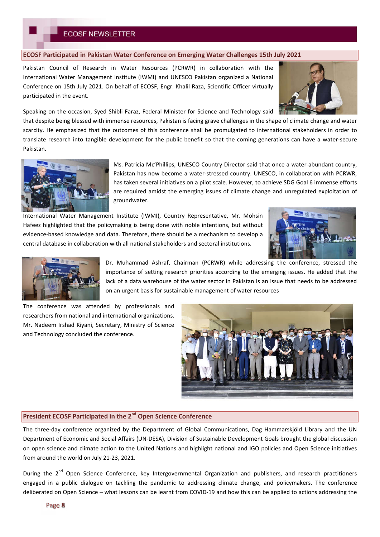**ECOSF Participated in Pakistan Water Conference on Emerging Water Challenges 15th July 2021**

Pakistan Council of Research in Water Resources (PCRWR) in collaboration with the International Water Management Institute (IWMI) and UNESCO Pakistan organized a National Conference on 15th July 2021. On behalf of ECOSF, Engr. Khalil Raza, Scientific Officer virtually participated in the event.



Speaking on the occasion, Syed Shibli Faraz, Federal Minister for Science and Technology said

that despite being blessed with immense resources, Pakistan is facing grave challenges in the shape of climate change and water scarcity. He emphasized that the outcomes of this conference shall be promulgated to international stakeholders in order to translate research into tangible development for the public benefit so that the coming generations can have a water-secure Pakistan.



Ms. Patricia Mc'Phillips, UNESCO Country Director said that once a water-abundant country, Pakistan has now become a water-stressed country. UNESCO, in collaboration with PCRWR, has taken several initiatives on a pilot scale. However, to achieve SDG Goal 6 immense efforts are required amidst the emerging issues of climate change and unregulated exploitation of groundwater.

International Water Management Institute (IWMI), Country Representative, Mr. Mohsin Hafeez highlighted that the policymaking is being done with noble intentions, but without evidence-based knowledge and data. Therefore, there should be a mechanism to develop a central database in collaboration with all national stakeholders and sectoral institutions.





Dr. Muhammad Ashraf, Chairman (PCRWR) while addressing the conference, stressed the importance of setting research priorities according to the emerging issues. He added that the lack of a data warehouse of the water sector in Pakistan is an issue that needs to be addressed on an urgent basis for sustainable management of water resources

The conference was attended by professionals and researchers from national and international organizations. Mr. Nadeem Irshad Kiyani, Secretary, Ministry of Science and Technology concluded the conference.



## **President ECOSF Participated in the 2nd Open Science Conference**

The three-day conference organized by the Department of Global Communications, Dag Hammarskjöld Library and the UN Department of Economic and Social Affairs (UN-DESA), Division of Sustainable Development Goals brought the global discussion on open science and climate action to the United Nations and highlight national and IGO policies and Open Science initiatives from around the world on July 21-23, 2021.

During the 2<sup>nd</sup> Open Science Conference, key Intergovernmental Organization and publishers, and research practitioners engaged in a public dialogue on tackling the pandemic to addressing climate change, and policymakers. The conference deliberated on Open Science – what lessons can be learnt from COVID-19 and how this can be applied to actions addressing the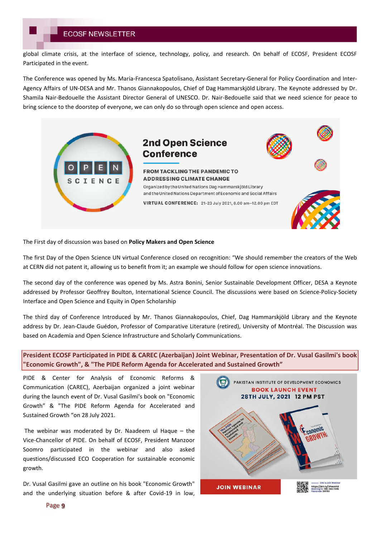global climate crisis, at the interface of science, technology, policy, and research. On behalf of ECOSF, President ECOSF Participated in the event.

The Conference was opened by Ms. Maria-Francesca Spatolisano, Assistant Secretary-General for Policy Coordination and Inter-Agency Affairs of UN-DESA and Mr. Thanos Giannakopoulos, Chief of Dag Hammarskjöld Library. The Keynote addressed by Dr. Shamila Nair-Bedouelle the Assistant Director General of UNESCO. Dr. Nair-Bedouelle said that we need science for peace to bring science to the doorstep of everyone, we can only do so through open science and open access.



The First day of discussion was based on **Policy Makers and Open Science** 

The first Day of the Open Science UN virtual Conference closed on recognition: "We should remember the creators of the Web at CERN did not patent it, allowing us to benefit from it; an example we should follow for open science innovations.

The second day of the conference was opened by Ms. Astra Bonini, Senior Sustainable Development Officer, DESA a Keynote addressed by Professor Geoffrey Boulton, International Science Council. The discussions were based on Science-Policy-Society Interface and Open Science and Equity in Open Scholarship

The third day of Conference Introduced by Mr. Thanos Giannakopoulos, Chief, Dag Hammarskjöld Library and the Keynote address by Dr. Jean-Claude Guédon, Professor of Comparative Literature (retired), University of Montréal. The Discussion was based on Academia and Open Science Infrastructure and Scholarly Communications.

**President ECOSF Participated in PIDE & CAREC (Azerbaijan) Joint Webinar, Presentation of Dr. Vusal Gasilmi's book "Economic Growth", & "The PIDE Reform Agenda for Accelerated and Sustained Growth"**

PIDE & Center for Analysis of Economic Reforms & Communication (CAREC), Azerbaijan organized a joint webinar during the launch event of Dr. Vusal Gasilmi's book on "Economic Growth" & "The PIDE Reform Agenda for Accelerated and Sustained Growth "on 28 July 2021.

The webinar was moderated by Dr. Naadeem ul Haque – the Vice-Chancellor of PIDE. On behalf of ECOSF, President Manzoor Soomro participated in the webinar and also asked questions/discussed ECO Cooperation for sustainable economic growth.

Dr. Vusal Gasilmi gave an outline on his book "Economic Growth" and the underlying situation before & after Covid-19 in low,

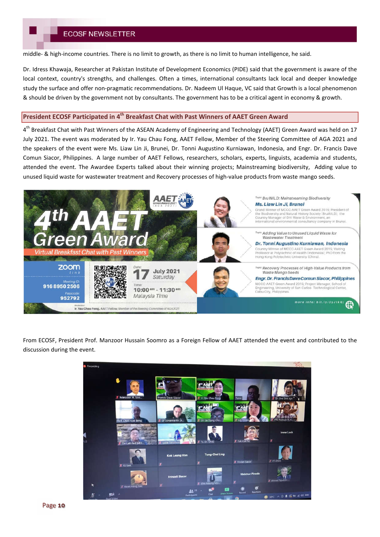middle- & high-income countries. There is no limit to growth, as there is no limit to human intelligence, he said.

Dr. Idress Khawaja, Researcher at Pakistan Institute of Development Economics (PIDE) said that the government is aware of the local context, country's strengths, and challenges. Often a times, international consultants lack local and deeper knowledge study the surface and offer non-pragmatic recommendations. Dr. Nadeem Ul Haque, VC said that Growth is a local phenomenon & should be driven by the government not by consultants. The government has to be a critical agent in economy & growth.

### **President ECOSF Participated in 4th Breakfast Chat with Past Winners of AAET Green Award**

4<sup>th</sup> Breakfast Chat with Past Winners of the ASEAN Academy of Engineering and Technology (AAET) Green Award was held on 17 July 2021. The event was moderated by Ir. Yau Chau Fong, AAET Fellow, Member of the Steering Committee of AGA 2021 and the speakers of the event were Ms. Liaw Lin Ji, Brunei, Dr. Tonni Augustino Kurniawan, Indonesia, and Engr. Dr. Francis Dave Comun Siacor, Philippines. A large number of AAET Fellows, researchers, scholars, experts, linguists, academia and students, attended the event. The Awardee Experts talked about their winning projects; Mainstreaming biodiversity, Adding value to unused liquid waste for wastewater treatment and Recovery processes of high-value products from waste mango seeds.



From ECOSF, President Prof. Manzoor Hussain Soomro as a Foreign Fellow of AAET attended the event and contributed to the discussion during the event.

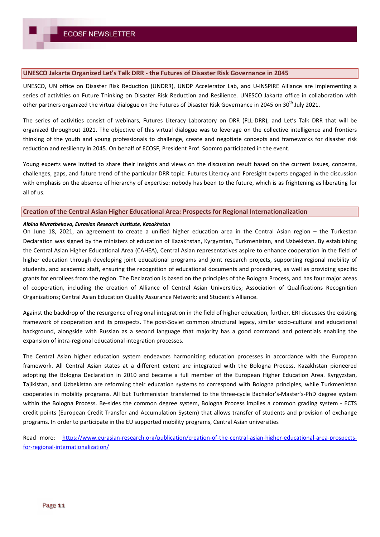#### **UNESCO Jakarta Organized Let's Talk DRR - the Futures of Disaster Risk Governance in 2045**

UNESCO, UN office on Disaster Risk Reduction (UNDRR), UNDP Accelerator Lab, and U-INSPIRE Alliance are implementing a series of activities on Future Thinking on Disaster Risk Reduction and Resilience. UNESCO Jakarta office in collaboration with other partners organized the virtual dialogue on the Futures of Disaster Risk Governance in 2045 on 30<sup>th</sup> July 2021.

The series of activities consist of webinars, Futures Literacy Laboratory on DRR (FLL-DRR), and Let's Talk DRR that will be organized throughout 2021. The objective of this virtual dialogue was to leverage on the collective intelligence and frontiers thinking of the youth and young professionals to challenge, create and negotiate concepts and frameworks for disaster risk reduction and resiliency in 2045. On behalf of ECOSF, President Prof. Soomro participated in the event.

Young experts were invited to share their insights and views on the discussion result based on the current issues, concerns, challenges, gaps, and future trend of the particular DRR topic. Futures Literacy and Foresight experts engaged in the discussion with emphasis on the absence of hierarchy of expertise: nobody has been to the future, which is as frightening as liberating for all of us.

### **Creation of the Central Asian Higher Educational Area: Prospects for Regional Internationalization**

#### *Albina Muratbekova, Eurasian Research Institute, Kazakhstan*

On June 18, 2021, an agreement to create a unified higher education area in the Central Asian region – the Turkestan Declaration was signed by the ministers of education of Kazakhstan, Kyrgyzstan, Turkmenistan, and Uzbekistan. By establishing the Central Asian Higher Educational Area (CAHEA), Central Asian representatives aspire to enhance cooperation in the field of higher education through developing joint educational programs and joint research projects, supporting regional mobility of students, and academic staff, ensuring the recognition of educational documents and procedures, as well as providing specific grants for enrollees from the region. The Declaration is based on the principles of the Bologna Process, and has four major areas of cooperation, including the creation of Alliance of Central Asian Universities; Association of Qualifications Recognition Organizations; Central Asian Education Quality Assurance Network; and Student's Alliance.

Against the backdrop of the resurgence of regional integration in the field of higher education, further, ERI discusses the existing framework of cooperation and its prospects. The post-Soviet common structural legacy, similar socio-cultural and educational background, alongside with Russian as a second language that majority has a good command and potentials enabling the expansion of intra-regional educational integration processes.

The Central Asian higher education system endeavors harmonizing education processes in accordance with the European framework. All Central Asian states at a different extent are integrated with the Bologna Process. Kazakhstan pioneered adopting the Bologna Declaration in 2010 and became a full member of the European Higher Education Area. Kyrgyzstan, Tajikistan, and Uzbekistan are reforming their education systems to correspond with Bologna principles, while Turkmenistan cooperates in mobility programs. All but Turkmenistan transferred to the three-cycle Bachelor's-Master's-PhD degree system within the Bologna Process. Be-sides the common degree system, Bologna Process implies a common grading system - ECTS credit points (European Credit Transfer and Accumulation System) that allows transfer of students and provision of exchange programs. In order to participate in the EU supported mobility programs, Central Asian universities

Read more: https://www.eurasian-research.org/publication/creation-of-the-central-asian-higher-educational-area-prospectsfor-regional-internationalization/